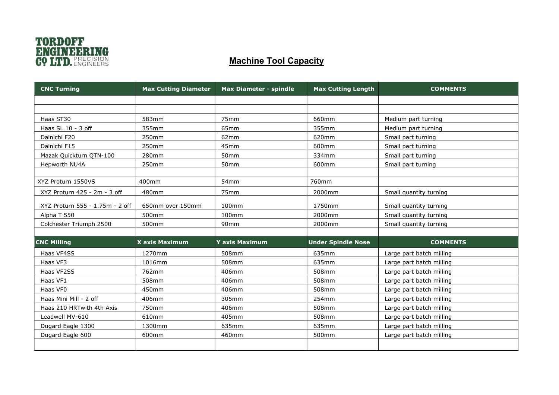

## **Machine Tool Capacity**

| <b>CNC Turning</b>              | <b>Max Cutting Diameter</b> | <b>Max Diameter - spindle</b> | <b>Max Cutting Length</b>        | <b>COMMENTS</b>          |  |
|---------------------------------|-----------------------------|-------------------------------|----------------------------------|--------------------------|--|
|                                 |                             |                               |                                  |                          |  |
|                                 |                             |                               |                                  |                          |  |
| Haas ST30                       | 583mm                       | 75 <sub>mm</sub>              | 660mm                            | Medium part turning      |  |
| Haas SL 10 - 3 off              | 355mm                       | 65mm                          | 355mm                            | Medium part turning      |  |
| Dainichi F20                    | 250mm                       | 62mm                          | 620mm                            | Small part turning       |  |
| Dainichi F15                    | 250mm                       | 45mm                          | 600mm                            | Small part turning       |  |
| Mazak Quickturn QTN-100         | 280mm                       | 50mm                          | 334mm                            | Small part turning       |  |
| Hepworth NU4A                   | 250mm                       | <b>50mm</b>                   | 600mm                            | Small part turning       |  |
|                                 |                             |                               |                                  |                          |  |
| XYZ Proturn 1550VS              | 400mm                       | 54 <sub>mm</sub>              | 760mm                            |                          |  |
| XYZ Proturn 425 - 2m - 3 off    | 480mm                       | 75mm                          | 2000mm                           | Small quantity turning   |  |
| XYZ Proturn 555 - 1.75m - 2 off | 650mm over 150mm            | 100mm                         | 1750mm                           | Small quantity turning   |  |
| Alpha T 550                     | 500 <sub>mm</sub>           | 100mm                         | 2000mm                           | Small quantity turning   |  |
| Colchester Triumph 2500         | 500mm                       | 90mm                          | 2000mm<br>Small quantity turning |                          |  |
|                                 |                             |                               |                                  |                          |  |
| <b>CNC Milling</b>              | X axis Maximum              | <b>Y</b> axis Maximum         | <b>Under Spindle Nose</b>        | <b>COMMENTS</b>          |  |
| Haas VF4SS                      | 1270mm                      | 508mm                         | 635mm                            | Large part batch milling |  |
| Haas VF3                        | 1016mm                      | 508mm                         | 635mm                            | Large part batch milling |  |
| Haas VF2SS                      | 762mm                       | 406mm                         | 508mm                            | Large part batch milling |  |
| Haas VF1                        | 508mm                       | 406mm                         | 508mm                            | Large part batch milling |  |
| Haas VF0                        | 450mm                       | 406mm                         | 508mm                            | Large part batch milling |  |
| Haas Mini Mill - 2 off          | 406mm                       | 305mm                         | 254mm                            | Large part batch milling |  |
| Haas 210 HRTwith 4th Axis       | 750mm                       | 406mm                         | 508mm                            | Large part batch milling |  |
| Leadwell MV-610                 | 610mm                       | 405mm                         | 508mm                            | Large part batch milling |  |
| Dugard Eagle 1300               | 1300mm                      | 635mm                         | 635mm                            | Large part batch milling |  |
| Dugard Eagle 600                | 600mm                       | 460mm                         | 500mm                            | Large part batch milling |  |
|                                 |                             |                               |                                  |                          |  |